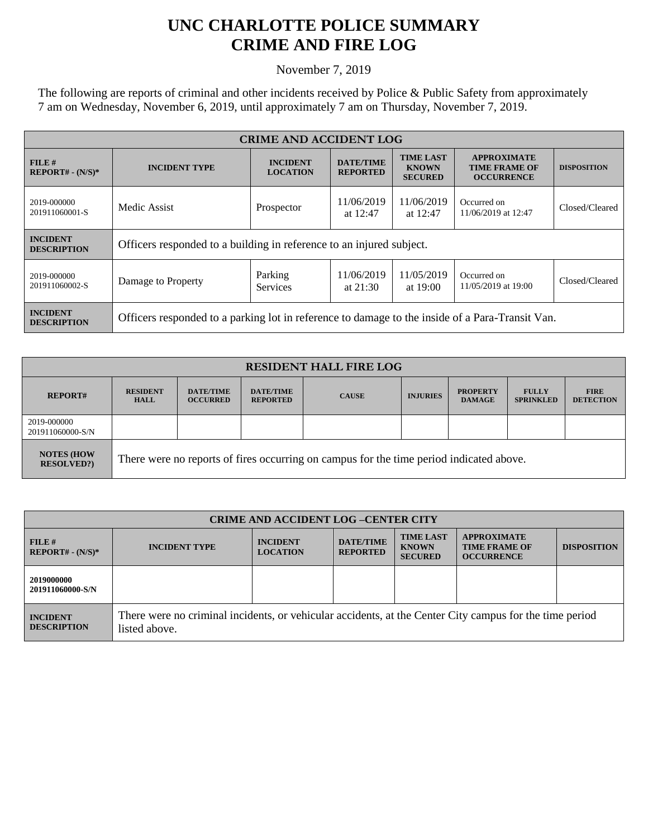## **UNC CHARLOTTE POLICE SUMMARY CRIME AND FIRE LOG**

November 7, 2019

The following are reports of criminal and other incidents received by Police & Public Safety from approximately 7 am on Wednesday, November 6, 2019, until approximately 7 am on Thursday, November 7, 2019.

| <b>CRIME AND ACCIDENT LOG</b>         |                                                                                                 |                                    |                                     |                                                    |                                                                 |                    |  |
|---------------------------------------|-------------------------------------------------------------------------------------------------|------------------------------------|-------------------------------------|----------------------------------------------------|-----------------------------------------------------------------|--------------------|--|
| FILE H<br>$REPORT# - (N/S)*$          | <b>INCIDENT TYPE</b>                                                                            | <b>INCIDENT</b><br><b>LOCATION</b> | <b>DATE/TIME</b><br><b>REPORTED</b> | <b>TIME LAST</b><br><b>KNOWN</b><br><b>SECURED</b> | <b>APPROXIMATE</b><br><b>TIME FRAME OF</b><br><b>OCCURRENCE</b> | <b>DISPOSITION</b> |  |
| 2019-000000<br>201911060001-S         | Medic Assist                                                                                    | Prospector                         | 11/06/2019<br>at $12:47$            | 11/06/2019<br>at 12:47                             | Occurred on<br>11/06/2019 at 12:47                              | Closed/Cleared     |  |
| <b>INCIDENT</b><br><b>DESCRIPTION</b> | Officers responded to a building in reference to an injured subject.                            |                                    |                                     |                                                    |                                                                 |                    |  |
| 2019-000000<br>201911060002-S         | Damage to Property                                                                              | Parking<br><b>Services</b>         | 11/06/2019<br>at $21:30$            | 11/05/2019<br>at $19:00$                           | Occurred on<br>11/05/2019 at 19:00                              | Closed/Cleared     |  |
| <b>INCIDENT</b><br><b>DESCRIPTION</b> | Officers responded to a parking lot in reference to damage to the inside of a Para-Transit Van. |                                    |                                     |                                                    |                                                                 |                    |  |

| <b>RESIDENT HALL FIRE LOG</b>         |                                                                                         |                                     |                                     |              |                 |                                  |                                  |                                 |
|---------------------------------------|-----------------------------------------------------------------------------------------|-------------------------------------|-------------------------------------|--------------|-----------------|----------------------------------|----------------------------------|---------------------------------|
| <b>REPORT#</b>                        | <b>RESIDENT</b><br><b>HALL</b>                                                          | <b>DATE/TIME</b><br><b>OCCURRED</b> | <b>DATE/TIME</b><br><b>REPORTED</b> | <b>CAUSE</b> | <b>INJURIES</b> | <b>PROPERTY</b><br><b>DAMAGE</b> | <b>FULLY</b><br><b>SPRINKLED</b> | <b>FIRE</b><br><b>DETECTION</b> |
| 2019-000000<br>201911060000-S/N       |                                                                                         |                                     |                                     |              |                 |                                  |                                  |                                 |
| <b>NOTES (HOW</b><br><b>RESOLVED?</b> | There were no reports of fires occurring on campus for the time period indicated above. |                                     |                                     |              |                 |                                  |                                  |                                 |

| <b>CRIME AND ACCIDENT LOG-CENTER CITY</b> |                                                                                                                          |                                    |                                     |                                                    |                                                                 |                    |
|-------------------------------------------|--------------------------------------------------------------------------------------------------------------------------|------------------------------------|-------------------------------------|----------------------------------------------------|-----------------------------------------------------------------|--------------------|
| FILE H<br>$REPORT# - (N/S)*$              | <b>INCIDENT TYPE</b>                                                                                                     | <b>INCIDENT</b><br><b>LOCATION</b> | <b>DATE/TIME</b><br><b>REPORTED</b> | <b>TIME LAST</b><br><b>KNOWN</b><br><b>SECURED</b> | <b>APPROXIMATE</b><br><b>TIME FRAME OF</b><br><b>OCCURRENCE</b> | <b>DISPOSITION</b> |
| 2019000000<br>201911060000-S/N            |                                                                                                                          |                                    |                                     |                                                    |                                                                 |                    |
| <b>INCIDENT</b><br><b>DESCRIPTION</b>     | There were no criminal incidents, or vehicular accidents, at the Center City campus for the time period<br>listed above. |                                    |                                     |                                                    |                                                                 |                    |